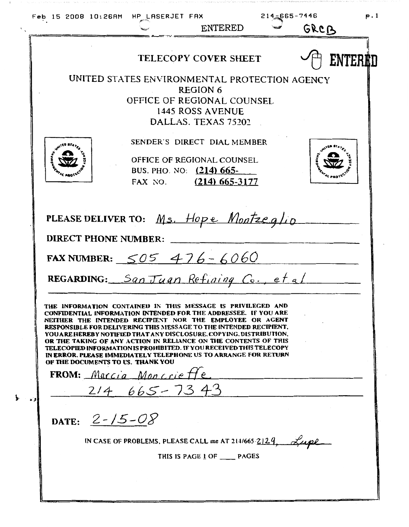$214.565 - 7446$ Feb 15 2008 10:26AM HP LASERJET FAX **p.1** GRCB **ENTERED** ENTERED **TELECOPY COVER SHEET** UNITED STATES ENVIRONMENTAL PROTECTION AGENCY **REGION 6** OFFICE OF REGIONAL COUNSEL 1445 ROSS AVENUE DALLAS. TEXAS 75202 SENDER'S DIRECT DIAL MEMBER OFFICE OF REGIONAL COUNSEL BUS. PHO. NO: (214) 665-FAX NO. (214) 665-3177 PLEASE DELIVER TO: Ms. Hope Montzeglio DIRECT PHONE NUMBER: FAX NUMBER:  $505476 - 6060$ REGARDING: San Juan Refining Co., et al THE INFORMATION CONTAINED IN THIS MESSAGE IS PRIVILEGED AND CONFIDENTIAL INFORMATION INTENDED FOR THE ADDRESSEE. IF YOU ARE NEITHER THE INTENDED RECIPIENT NOR THE EMPLOYEE OR AGENT RESPONSIBLE FOR DELIVERING THIS MESSAGE TO THE INTENDED RECIPIENT. YOU ARE HEREBY NOTIFIED THAT ANY DISCLOSURE. COPYING, DISTRIBUTION, OR THE TAKING OF ANY ACTION IN RELIANCE ON THE CONTENTS OF THIS TELECOPIED INFORMATION IS PROHIBITED. IF YOU RECEIVED THIS TELECOPY IN ERROR. PLEASE IMMEDIATELY TELEPHONE US TO ARRANGE FOR RETURN OF THE DOCUMENTS TO US. THANK YOU FROM: Marcia Moncrieffe  $214 665 - 7343$ DATE:  $2 - 15 - 08$ IN CASE OF PROBLEMS, PLEASE CALL me AT 214/665-2129 THIS IS PAGE 1 OF PAGES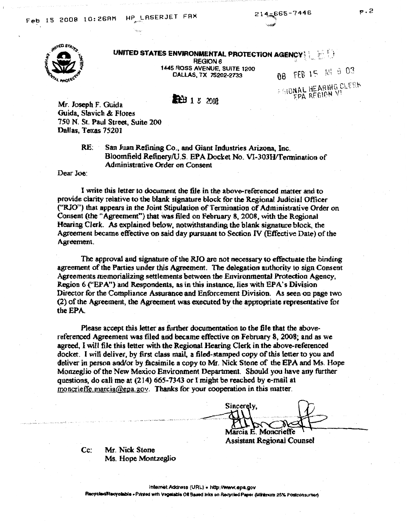

## UNITED STATES ENVIRONMENTAL PROTECTION AGENCY

**REGION 6** 1445 ROSS AVENUE, SUITE 1200 CALLAS, TX 75202-2733

**LEEL** 1 5 2008

08 FEB 15 M4 8 03 *EGIONAL HEARING CLERK* FPA REGION V

Mr. Joseph F. Guida Guida., Slavich & Flores 750 N. St. Paul Street, Suite 200 Dallas, Texas 75201

> RE: San Juan Refining Co., and Giant Industries Arizona. Inc. Bloomfield Refinery/U.S. EPA Docket No. VI-303H/Tennination of Administrative Order on Consent

Dear Joe:

I write this letter to document the file in the above-referenced matter and to provide clarity relative to the blank signature block for the Regional Judicial Officer ("RJO") that appears in the Joint Stipulation of Termination of Administrative Order on Consent (the "Agreement"} that was filed on February 8, 2008, with the Regional Hearing Clerk. As explained below, notwithstanding the blank signature block, the Agreement became effective on said day pursuant to Section IV (Effective Date) of the Agreement.

The approval and signature of the RJO are not necessary to effectuate the binding agreement of the Parties under this Agreement. The delegation authority to sign Consent Agreements memorializing settlements between the Environmental Protection Agency, Region 6 ("EPA") and Respondents, as in this instance, lies with EPA's Division Director for the Compliance Assurance and Enforcement Division. *As* seen on page two (2) of the Agreement, the Agreement was executed by the appropriate representative for the EPA.

Please accept this letter as further documentation to the file that the abovereferenced Agreement was filed and became effective on February 8, 2008; and as we agreed, I will file this letter with the Regional Hearing Clerk in the above-referenced docket. I will deliver, by first class mail. a filed-stamped copy of this letter to you and deliver in person and/or by facsimile a copy to Mr. Nick Stone of the EPA and Ms. Hope Monzeglio of the New Mexico Environment Department. Should you have any further questions, do call me at (214) 665-7343 or I might be reached by e-mail at moncrieffe.marcia@epa.gov. Thanks for your cooperation in this matter.

Sincerely, Marcia E. Moncrieffe

**Assistant Regional Counsel** 

Cc: Mr. Nick Stone Ms. Hope Montzeglio

Internet Address (URL) · http://www.epa.gov Recycled/Recyclable • Printed with Vegelable OII Based Inks on Recycled Paper (Minimum 25% Postconsumer) -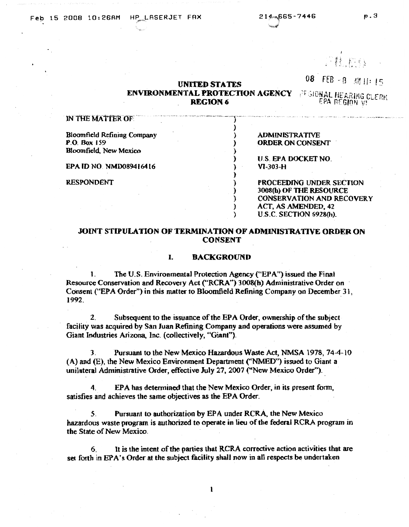·""·""

# 08 FEB -8 Mt U: 15

#### **UNITED STA TES ENVIRONMENTAL PROTECTION AGENCY FEBIONAL FEARING CLERK REGION 6**

) ) ) ) ) ) ) ) ) ) ) )

. -.... ---·- .. -. \_.,\_ .. ,,,,.,. \_\_\_\_\_\_\_\_\_\_ .\_,,\_J \_\_\_ \_\_

EPA REGION V!

#### **IN THE MATTER OF:**

Bloomfield Refining Company **P.O. Box** 159 Bloomfield. New Mexico

**EPA ID** NO NMD089416416

RESPONDENT

ADMINISTRATIVE ORDER ON CONSENT

U.S. EPA DOCKET NO. VJ-303-H

PROCEEDING UNDER SECTION 3008(h) OF THE RESOURCE CONSERVATION AND RECOVERY ACT, AS AMENDED, 42 U.S.C. SECTION 6928(h).

### **JOINT STIPULATION OF TERMINATION OF ADMINISTRATIVE ORDER ON CONSENT**

#### I. **BACKGROUND**

1. The U.S. Environmental Protection Agency ("EPA") issued the Final Resource Conservation and Recovery Act ("RCRA") 3008(h) Administrative Order on Consent ("EPA Order") in this matter to Bloomfield Refining Company on December 31, 1992\_ .

2. Subsequent to the issuance of the EPA Order, ownership of *the* subject facility was acquired by San Juan Refining Company and operations were assumed by Giant Industries Arizona, Inc. (collectively, "Giant").

3. Pursuant to the New Mexico Hazardous Waste Act, NMSA 1978, 74-4-10 (A) and (E), the New Mexico Environment Department ("NMED") issued to Giant a unilateral Administrative Order, effective July 27, 2007 ("New Mexico Order").

4. EPA has determined that the New Mexico Order, in its present form, satisfies and achieves the same- objectives *as* the EPA Order.

5. Pursuant to authorization by EPA under RCRA, the New Mexico hazardous waste program is authorized to operate in lieu of the federal RCRA program in the State of New Mexico.

6. It is the intent of the parties that RCRA corrective action activities that are set forth in EPA's Order at the subject facility shall now in all respects be undertaken

I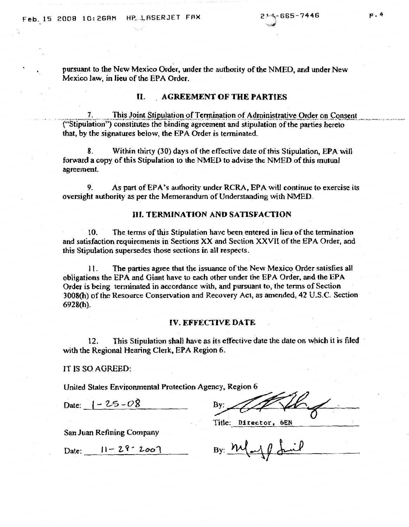pursuant to the New Mexico Order, under the authority of the NMED, and under New Mexico law, in lieu of the EPA Order.

#### II. **AGREEMENT OF THE PARTIES**

7. This Joint Stipulation of Termination of Administrative Order on Consent ("Stipulation") constitutes the binding agreement and stipulation of the parties hereto that, by the signatures below, the EPA Order is terminated.

Within thirty (30) days of the effective date of this Stipulation, EPA will 8. forward a copy of this Stipulation to the NMED to advise the NMED of this mutual agreement.

9. As part of EPA's authority under RCRA, EPA will continue to exercise its oversight authority as per the Memorandum of Understanding with NMED.

#### **III. TERMINATION AND SATISFACTION**

The terms of this Stipulation have been entered in lieu of the termination  $10.$ and satisfaction requirements in Sections XX and Section XXVII of the EPA Order, and this Stipulation supersedes those sections in all respects.

The parties agree that the issuance of the New Mexico Order satisfies all  $11.$ obligations the EPA and Giant have to each other under the EPA Order, and the EPA Order is being terminated in accordance with, and pursuant to, the terms of Section 3008(h) of the Resource Conservation and Recovery Act, as amended, 42 U.S.C. Section 6928(h).

#### **IV. EFFECTIVE DATE**

This Stipulation shall have as its effective date the date on which it is filed 12. with the Regional Hearing Clerk, EPA Region 6.

IT IS SO AGREED:

United States Environmental Protection Agency, Region 6

Date:  $|-25-08$ 

By:

Title: Director, 6EN

San Juan Refining Company

Date:  $11 - 29 - 200$ 

By:  $m(\rightarrow \emptyset \text{shift})$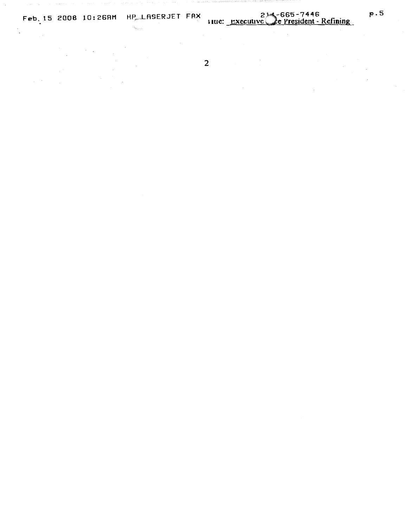

 $\sim$ 

 $\sim$   $\sim$ 

 $\label{eq:2} \mathcal{L}^{\text{max}}_{\text{max}}(\mathcal{L}^{\text{max}}_{\text{max}}) = \mathcal{L}^{\text{max}}_{\text{max}}$ 

 $\mathbb{R}^2$ 

 $\label{eq:2.1} \frac{1}{2} \left( \frac{1}{2} \left( \frac{1}{2} \right) \right) \left( \frac{1}{2} \right) \left( \frac{1}{2} \right)$ 

 $\label{eq:2} \frac{1}{\sqrt{2}}\left(\frac{1}{\sqrt{2}}\right)^{2} \left(\frac{1}{\sqrt{2}}\right)^{2} \left(\frac{1}{\sqrt{2}}\right)^{2} \left(\frac{1}{\sqrt{2}}\right)^{2} \left(\frac{1}{\sqrt{2}}\right)^{2} \left(\frac{1}{\sqrt{2}}\right)^{2} \left(\frac{1}{\sqrt{2}}\right)^{2} \left(\frac{1}{\sqrt{2}}\right)^{2} \left(\frac{1}{\sqrt{2}}\right)^{2} \left(\frac{1}{\sqrt{2}}\right)^{2} \left(\frac{1}{\sqrt{2}}\right)^{2} \left(\frac{$ 

 $\overline{2}$ 

 $\sim$ 

 $\sim$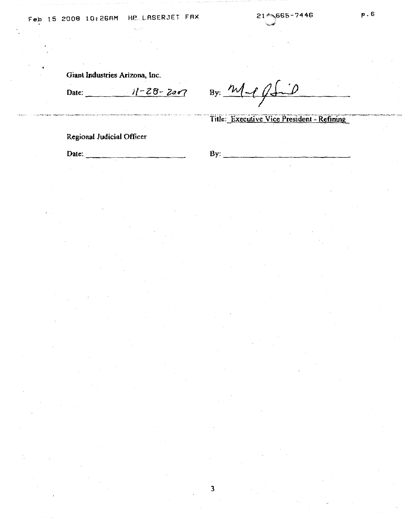Giant Industries Arizona, Inc.

.<br>The computery of the second section of the computer of the second later section of the second section of the second computer of the second computer of the second computer of the second

Date: 11-28-2007 By: <u>M</u> phil *I* 

Title: Executive Vice President - Refining

Regional Judicial Officer

Date: ------------ By: --~-----------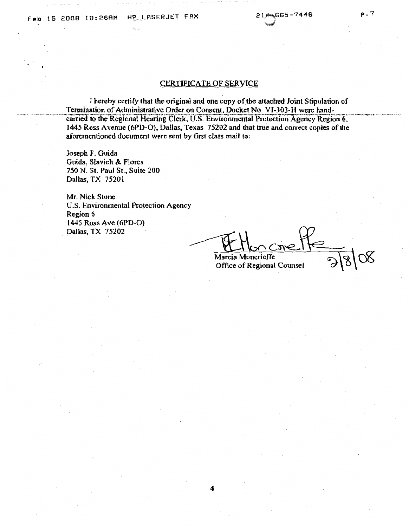#### **CERTIFICATE OF SERVICE**

I hereby certify that the original and one copy of the attached Joint Stipulation of Termination of Administrative Order on Consent, Docket No. VI-303-H were handcarried to the Regional Hearing Clerk, U.S. Environmental Protection Agency Region 6, 1445 Ross Avenue (6PD-O), Dallas, Texas 75202 and that true and correct copies of the aforementioned document were sent by first class mail to:

Joseph F. Guida Guida, Slavich & Flores 750 N. St. Paul St., Suite 200 Dallas, TX 75201

Mr. Nick Stone U.S. Environmental Protection Agency Region 6 1445 Ross Ave (6PD-O) Dallas, TX 75202

Marcia Moncrieffe **Office of Regional Counsel**